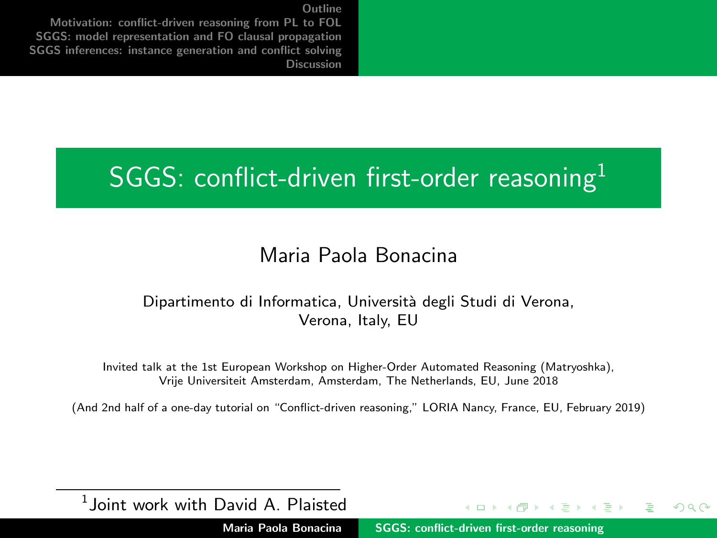<span id="page-0-0"></span>[Motivation: conflict-driven reasoning from PL to FOL](#page-2-0) [SGGS: model representation and FO clausal propagation](#page-5-0) [SGGS inferences: instance generation and conflict solving](#page-22-0) [Discussion](#page-38-0)

#### SGGS: conflict-driven first-order reasoning $<sup>1</sup>$ </sup>

#### Maria Paola Bonacina

#### Dipartimento di Informatica, Università degli Studi di Verona, Verona, Italy, EU

Invited talk at the 1st European Workshop on Higher-Order Automated Reasoning (Matryoshka), Vrije Universiteit Amsterdam, Amsterdam, The Netherlands, EU, June 2018

(And 2nd half of a one-day tutorial on "Conflict-driven reasoning," LORIA Nancy, France, EU, February 2019)

 $<sup>1</sup>$ Joint work with David A. Plaisted</sup>

Maria Paola Bonacina [SGGS: conflict-driven first-order reasoning](#page-41-0)

 $4.11 \times 4.49 \times 4.72 \times 4.72$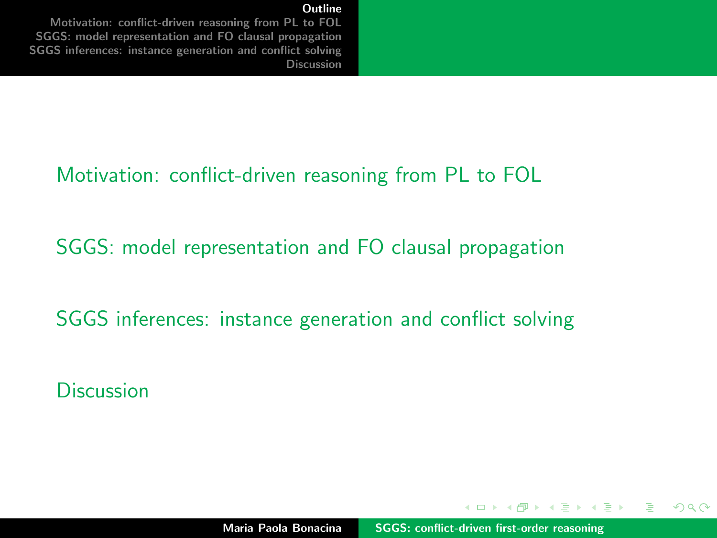<span id="page-1-0"></span>[Motivation: conflict-driven reasoning from PL to FOL](#page-2-0) [SGGS: model representation and FO clausal propagation](#page-5-0) [SGGS inferences: instance generation and conflict solving](#page-22-0) [Discussion](#page-38-0)

#### [Motivation: conflict-driven reasoning from PL to FOL](#page-2-0)

[SGGS: model representation and FO clausal propagation](#page-5-0)

[SGGS inferences: instance generation and conflict solving](#page-22-0)

**[Discussion](#page-38-0)** 

イロメ イ押 トラ ミトラ ミント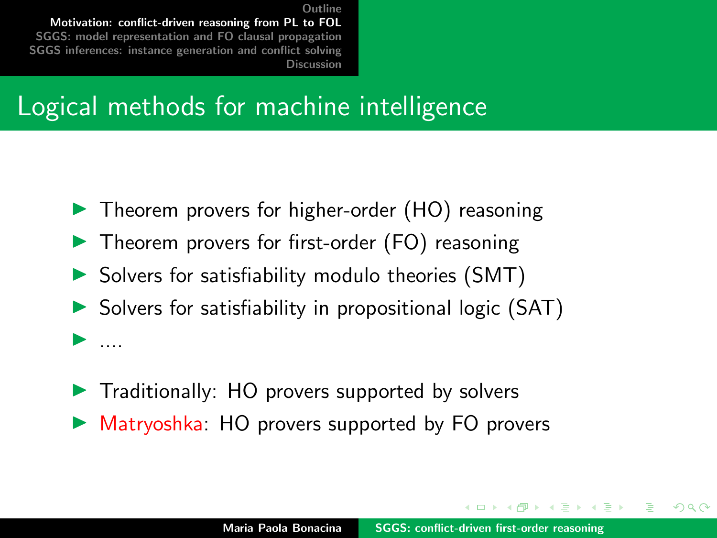<span id="page-2-0"></span>[Outline](#page-1-0) [Motivation: conflict-driven reasoning from PL to FOL](#page-2-0) [SGGS: model representation and FO clausal propagation](#page-5-0) [SGGS inferences: instance generation and conflict solving](#page-22-0) [Discussion](#page-38-0)

#### Logical methods for machine intelligence

- $\blacktriangleright$  Theorem provers for higher-order (HO) reasoning
- $\blacktriangleright$  Theorem provers for first-order (FO) reasoning
- $\triangleright$  Solvers for satisfiability modulo theories (SMT)
- $\triangleright$  Solvers for satisfiability in propositional logic (SAT)  $\blacktriangleright$  ....
- $\blacktriangleright$  Traditionally: HO provers supported by solvers
- $\triangleright$  Matryoshka: HO provers supported by FO provers

イロメ マ桐 トマ ヨ トマ ヨメ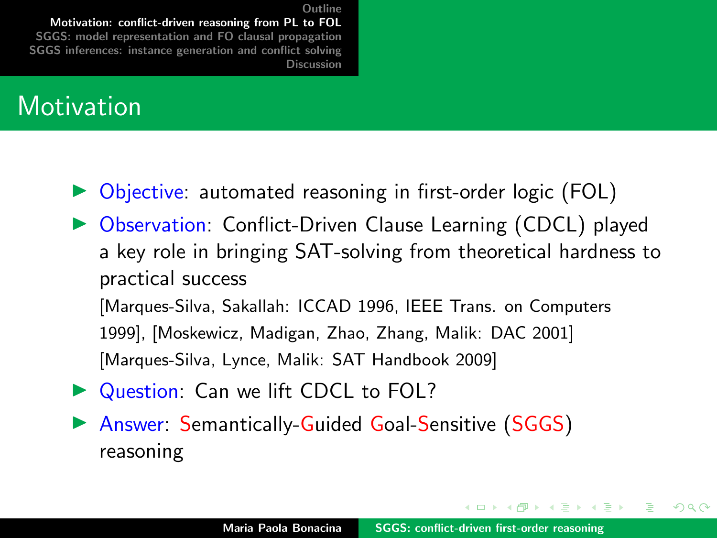[Outline](#page-1-0) [Motivation: conflict-driven reasoning from PL to FOL](#page-2-0) [SGGS: model representation and FO clausal propagation](#page-5-0) [SGGS inferences: instance generation and conflict solving](#page-22-0) [Discussion](#page-38-0)

#### **Motivation**

- $\triangleright$  Objective: automated reasoning in first-order logic (FOL)
- ▶ Observation: Conflict-Driven Clause Learning (CDCL) played a key role in bringing SAT-solving from theoretical hardness to practical success

[Marques-Silva, Sakallah: ICCAD 1996, IEEE Trans. on Computers 1999], [Moskewicz, Madigan, Zhao, Zhang, Malik: DAC 2001] [Marques-Silva, Lynce, Malik: SAT Handbook 2009]

- Question: Can we lift CDCL to FOL?
- ▶ Answer: Semantically-Guided Goal-Sensitive (SGGS) reasoning

イロメ イ押 トラ ミトラ ミント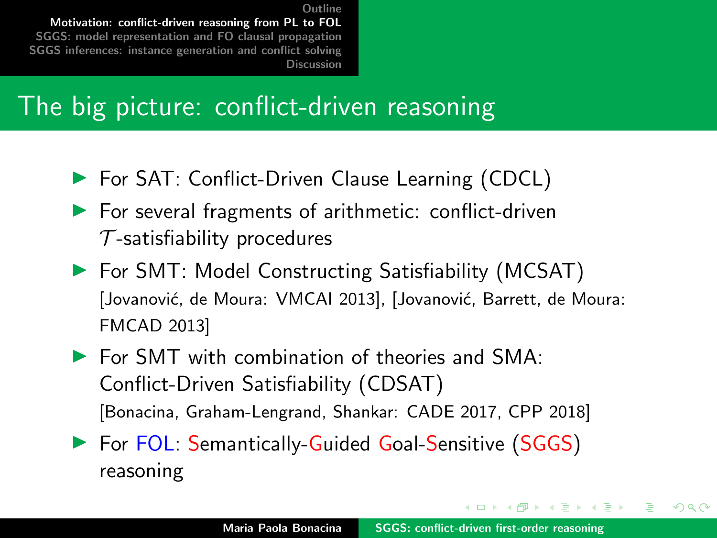**[Outline](#page-1-0)** [Motivation: conflict-driven reasoning from PL to FOL](#page-2-0) [SGGS: model representation and FO clausal propagation](#page-5-0) [SGGS inferences: instance generation and conflict solving](#page-22-0) [Discussion](#page-38-0)

### The big picture: conflict-driven reasoning

- ▶ For SAT: Conflict-Driven Clause Learning (CDCL)
- $\blacktriangleright$  For several fragments of arithmetic: conflict-driven  $\tau$ -satisfiability procedures
- $\blacktriangleright$  For SMT: Model Constructing Satisfiability (MCSAT) [Jovanović, de Moura: VMCAI 2013], [Jovanović, Barrett, de Moura: FMCAD 2013]
- $\triangleright$  For SMT with combination of theories and SMA: Conflict-Driven Satisfiability (CDSAT) [Bonacina, Graham-Lengrand, Shankar: CADE 2017, CPP 2018]
- ▶ For FOL: Semantically-Guided Goal-Sensitive (SGGS) reasoning

イロメ マ桐 トマ ヨ トマ ヨメ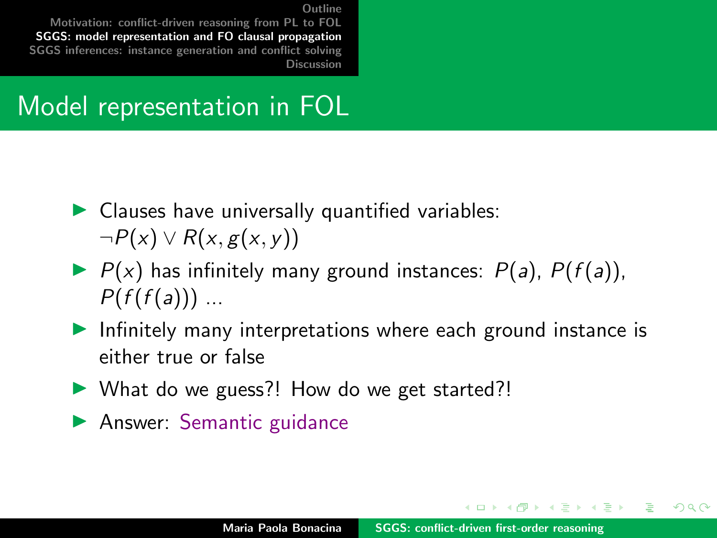<span id="page-5-0"></span>[Motivation: conflict-driven reasoning from PL to FOL](#page-2-0) [SGGS: model representation and FO clausal propagation](#page-5-0) [SGGS inferences: instance generation and conflict solving](#page-22-0) [Discussion](#page-38-0)

### Model representation in FOL

- $\blacktriangleright$  Clauses have universally quantified variables:  $\neg P(x) \vee R(x, g(x, y))$
- $\blacktriangleright$   $P(x)$  has infinitely many ground instances:  $P(a)$ ,  $P(f(a))$ ,  $P(f(f(a)))$  ...
- Infinitely many interpretations where each ground instance is either true or false
- $\triangleright$  What do we guess?! How do we get started?!
- $\blacktriangleright$  Answer: Semantic guidance

イロメ マ桐 トマ ヨ トマ ヨメ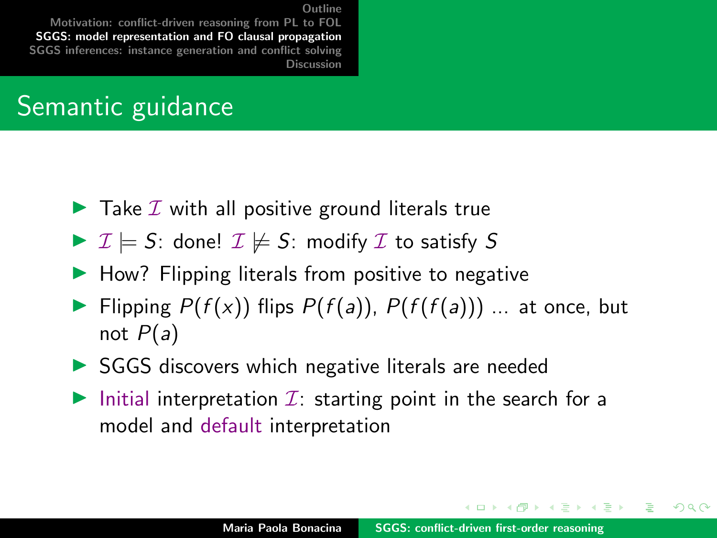[Motivation: conflict-driven reasoning from PL to FOL](#page-2-0) [SGGS: model representation and FO clausal propagation](#page-5-0) [SGGS inferences: instance generation and conflict solving](#page-22-0) [Discussion](#page-38-0)

### Semantic guidance

- $\blacktriangleright$  Take  $\mathcal I$  with all positive ground literals true
- $\triangleright$   $\mathcal{I} \models S$ : done!  $\mathcal{I} \not\models S$ : modify  $\mathcal{I}$  to satisfy S
- $\blacktriangleright$  How? Flipping literals from positive to negative
- Flipping  $P(f(x))$  flips  $P(f(a))$ ,  $P(f(f(a)))$  ... at once, but not  $P(a)$
- $\triangleright$  SGGS discovers which negative literals are needed
- Initial interpretation  $\mathcal{I}$ : starting point in the search for a model and default interpretation

イロメ イ押 トラ ミトラ ミント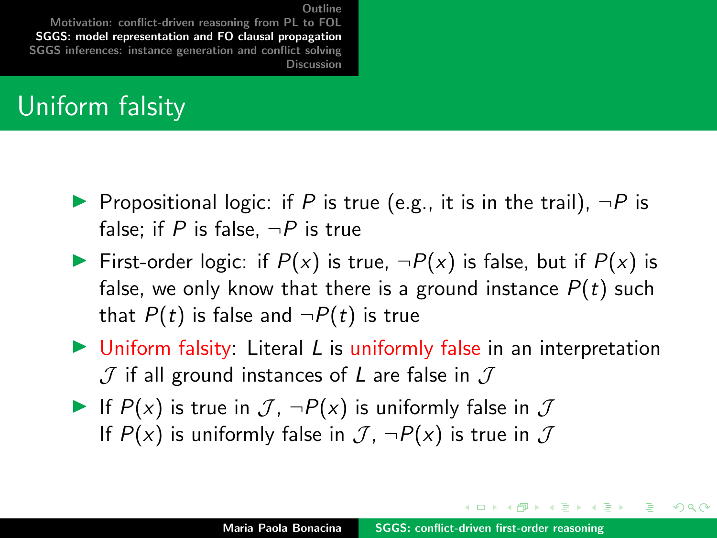[Motivation: conflict-driven reasoning from PL to FOL](#page-2-0) [SGGS: model representation and FO clausal propagation](#page-5-0) [SGGS inferences: instance generation and conflict solving](#page-22-0) **[Discussion](#page-38-0)** 

### Uniform falsity

- **Propositional logic: if P is true (e.g., it is in the trail),**  $\neg P$  is false; if P is false,  $\neg P$  is true
- First-order logic: if  $P(x)$  is true,  $\neg P(x)$  is false, but if  $P(x)$  is false, we only know that there is a ground instance  $P(t)$  such that  $P(t)$  is false and  $\neg P(t)$  is true
- $\triangleright$  Uniform falsity: Literal L is uniformly false in an interpretation  $J$  if all ground instances of L are false in  $J$
- If  $P(x)$  is true in  $\mathcal{J}$ ,  $\neg P(x)$  is uniformly false in  $\mathcal J$ If  $P(x)$  is uniformly false in  $\mathcal{J}$ ,  $\neg P(x)$  is true in  $\mathcal{J}$

イロメ イ押 トラ ミトラ ミント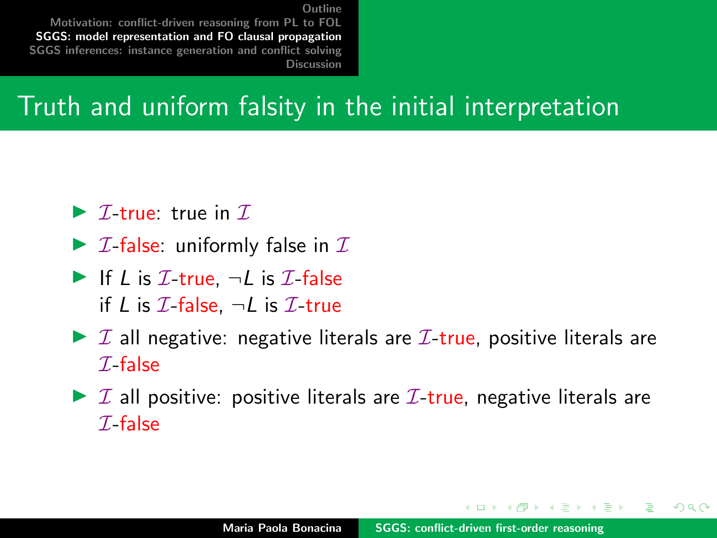[Motivation: conflict-driven reasoning from PL to FOL](#page-2-0) [SGGS: model representation and FO clausal propagation](#page-5-0) [SGGS inferences: instance generation and conflict solving](#page-22-0) [Discussion](#page-38-0)

### Truth and uniform falsity in the initial interpretation

- $\triangleright$  *T*-true: true in *T*.
- $\triangleright$  *I*-false: uniformly false in *I*
- If L is  $\mathcal{I}\text{-true}$ ,  $\neg L$  is  $\mathcal{I}\text{-false}$ if L is  $\mathcal{I}\text{-false}$ ,  $\neg L$  is  $\mathcal{I}\text{-true}$
- $\triangleright$  I all negative: negative literals are I-true, positive literals are  $\mathcal I$ -false
- $\triangleright$  I all positive: positive literals are I-true, negative literals are  $\mathcal I$ -false

 $\mathcal{A}$  and  $\mathcal{A}$  . The set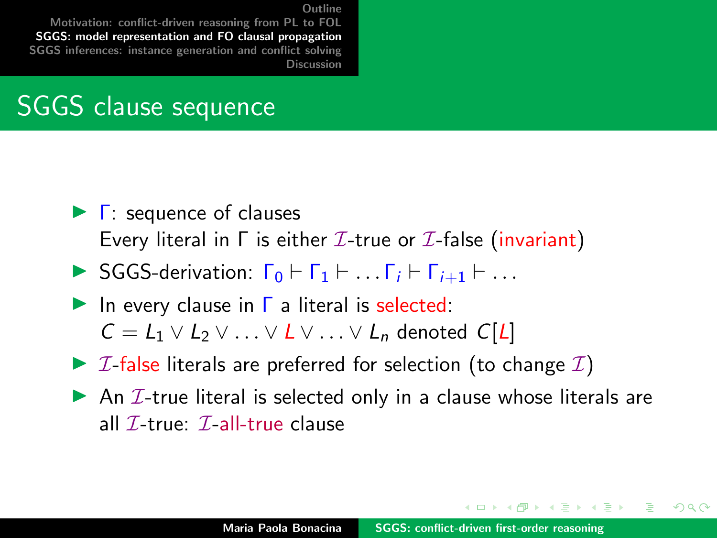[Motivation: conflict-driven reasoning from PL to FOL](#page-2-0) [SGGS: model representation and FO clausal propagation](#page-5-0) [SGGS inferences: instance generation and conflict solving](#page-22-0) [Discussion](#page-38-0)

### SGGS clause sequence

- $\blacktriangleright$   $\Gamma$ : sequence of clauses Every literal in  $\Gamma$  is either  $\mathcal I$ -true or  $\mathcal I$ -false (invariant)
- $\triangleright$  SGGS-derivation:  $\Gamma_0 \vdash \Gamma_1 \vdash \ldots \Gamma_i \vdash \Gamma_{i+1} \vdash \ldots$
- In every clause in  $\Gamma$  a literal is selected:  $C = L_1 \vee L_2 \vee \ldots \vee L \vee \ldots \vee L_n$  denoted  $C[L]$
- $\triangleright$  *I*-false literals are preferred for selection (to change *I*)
- An  $I$ -true literal is selected only in a clause whose literals are all  $\mathcal{I}\text{-true}$ :  $\mathcal{I}\text{-all-true}$  clause

イロメ イ押 トラ ミトラ ミント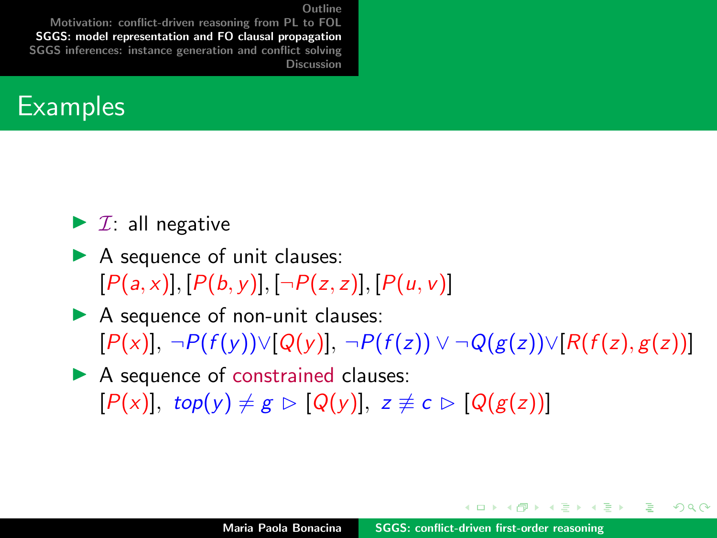[Motivation: conflict-driven reasoning from PL to FOL](#page-2-0) [SGGS: model representation and FO clausal propagation](#page-5-0) [SGGS inferences: instance generation and conflict solving](#page-22-0) [Discussion](#page-38-0)



- $\blacktriangleright$  *I*: all negative
- $\blacktriangleright$  A sequence of unit clauses:  $[P(a, x)], [P(b, y)], [\neg P(z, z)], [P(u, v)]$
- $\blacktriangleright$  A sequence of non-unit clauses:  $[P(x)], \neg P(f(y)) \vee [Q(y)], \neg P(f(z)) \vee \neg Q(g(z)) \vee [R(f(z), g(z))]$
- $\blacktriangleright$  A sequence of constrained clauses:  $[P(x)]$ , top(y)  $\neq g \triangleright [Q(y)]$ ,  $z \not\equiv c \triangleright [Q(g(z))]$

す例 トラ ミトラ ミト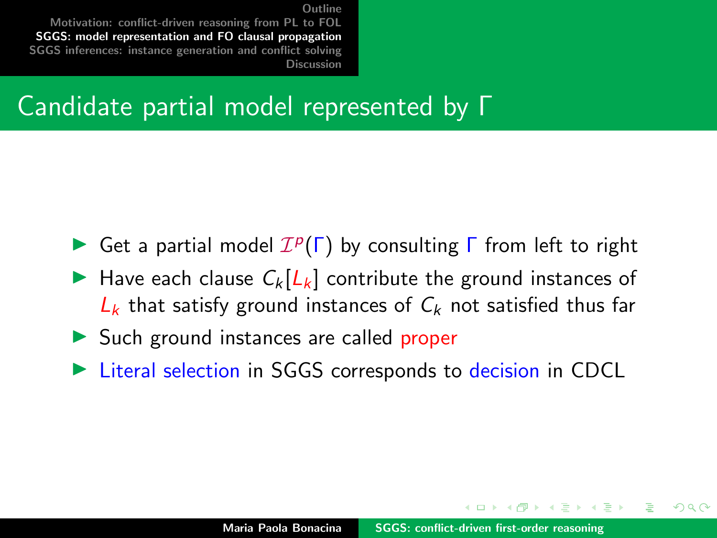[Motivation: conflict-driven reasoning from PL to FOL](#page-2-0) [SGGS: model representation and FO clausal propagation](#page-5-0) [SGGS inferences: instance generation and conflict solving](#page-22-0) [Discussion](#page-38-0)

#### Candidate partial model represented by Γ

- Get a partial model  $\mathcal{I}^p(\Gamma)$  by consulting  $\Gamma$  from left to right
- Have each clause  $C_k[L_k]$  contribute the ground instances of  $L_k$  that satisfy ground instances of  $C_k$  not satisfied thus far
- $\triangleright$  Such ground instances are called proper
- Eiteral selection in SGGS corresponds to decision in CDCL

 $\mathcal{A}$  and  $\mathcal{A}$  in  $\mathcal{A}$  in  $\mathcal{A}$  in  $\mathcal{A}$  in  $\mathcal{A}$ 

∽≏ດ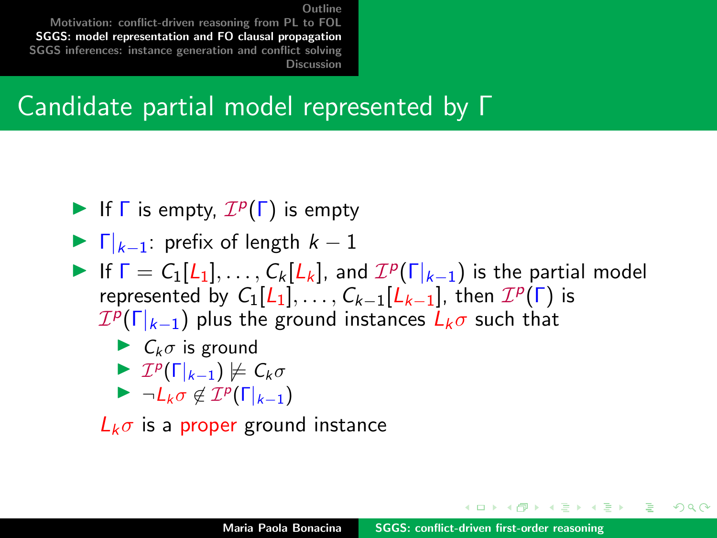[Motivation: conflict-driven reasoning from PL to FOL](#page-2-0) [SGGS: model representation and FO clausal propagation](#page-5-0) [SGGS inferences: instance generation and conflict solving](#page-22-0) [Discussion](#page-38-0)

#### Candidate partial model represented by Γ

- If  $\Gamma$  is empty,  $\mathcal{I}^p(\Gamma)$  is empty
- $\blacktriangleright$   $\Gamma|_{k-1}$ : prefix of length  $k-1$
- If  $\Gamma = C_1[L_1], \ldots, C_k[L_k]$ , and  $\mathcal{I}^p(\Gamma_{k-1})$  is the partial model represented by  $C_1[L_1], \ldots, C_{k-1}[L_{k-1}],$  then  $\mathcal{I}^p(\Gamma)$  is  ${\mathcal I}^p(\Gamma|_{k-1})$  plus the ground instances  $\dot L_k\sigma$  such that

$$
\blacktriangleright \ \ C_k \sigma \ \text{is ground}
$$

$$
\blacktriangleright \mathcal{I}^p(\Gamma|_{k-1}) \not\models C_k \sigma
$$

 $\blacktriangleright \neg L_k \sigma \notin \mathcal{I}^p(\Gamma|_{k-1})$ 

 $L_k \sigma$  is a proper ground instance

 $A \cap B$   $A \cap B$   $B \cap A$   $B$ 

∽≏ດ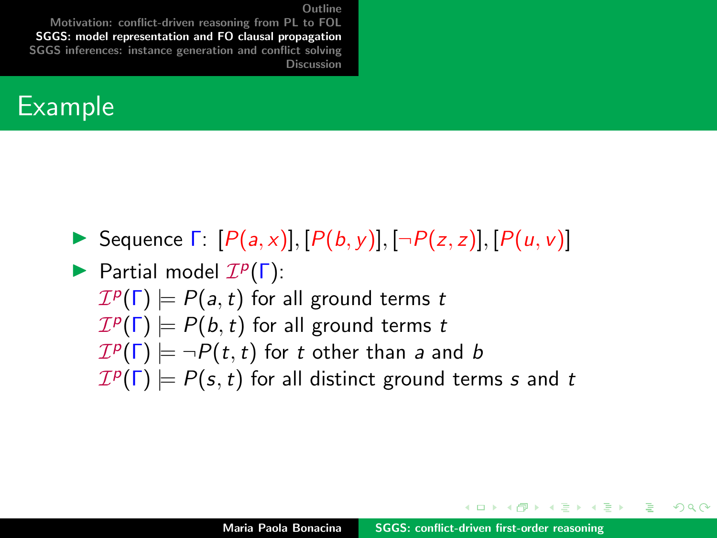[Motivation: conflict-driven reasoning from PL to FOL](#page-2-0) [SGGS: model representation and FO clausal propagation](#page-5-0) [SGGS inferences: instance generation and conflict solving](#page-22-0) [Discussion](#page-38-0)

#### Example

- Sequence  $\Gamma: [P(a,x)], [P(b,y)], [\neg P(z,z)], [P(u,v)]$
- Partial model  $\mathcal{I}^p(\Gamma)$ :  $\mathcal{I}^p(\Gamma) \models P(a,t)$  for all ground terms  $t$  $\mathcal{I}^p(\Gamma) \models P(b,t)$  for all ground terms  $t$  $\mathcal{I}^p(\Gamma) \models \neg P(t,t)$  for  $t$  other than  $a$  and  $b$  $\mathcal{I}^p(\Gamma) \models P(s,t)$  for all distinct ground terms s and t

イロメ イ押 トラ ミトラ ミント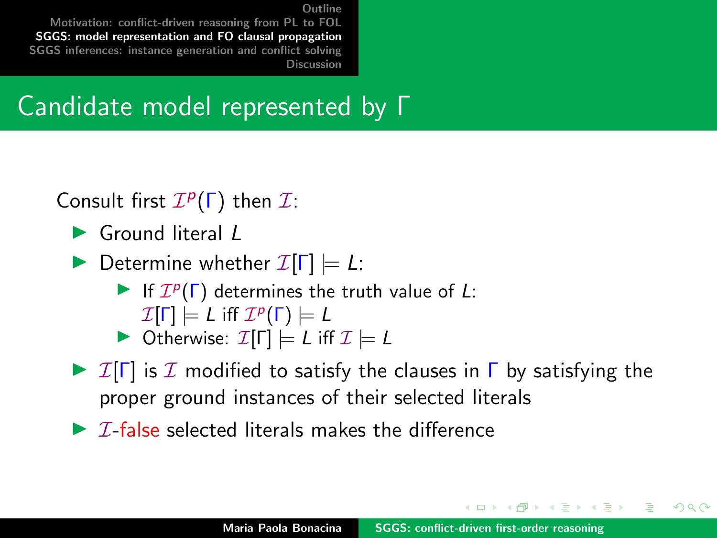[Motivation: conflict-driven reasoning from PL to FOL](#page-2-0) [SGGS: model representation and FO clausal propagation](#page-5-0) [SGGS inferences: instance generation and conflict solving](#page-22-0) [Discussion](#page-38-0)

#### Candidate model represented by Γ

Consult first  $\mathcal{I}^p(\Gamma)$  then  $\mathcal{I}$ :

- $\blacktriangleright$  Ground literal  $\ell$
- **Determine whether**  $\mathcal{I}[\Gamma] \models L$ :
	- If  $\mathcal{I}^p(\Gamma)$  determines the truth value of L:
		- $\mathcal{I}[\mathsf{\Gamma}]\models \mathsf{\mathsf{L}}$  iff  $\mathcal{I}^p(\mathsf{\Gamma})\models \mathsf{\mathsf{L}}$
	- $\triangleright$  Otherwise:  $\mathcal{I}[\Gamma] \models L$  iff  $\mathcal{I} \models L$
- $\triangleright$  I[Γ] is I modified to satisfy the clauses in Γ by satisfying the proper ground instances of their selected literals
- $\triangleright$  *T*-false selected literals makes the difference

イロメ マ桐 トマ ヨ トマ ヨメ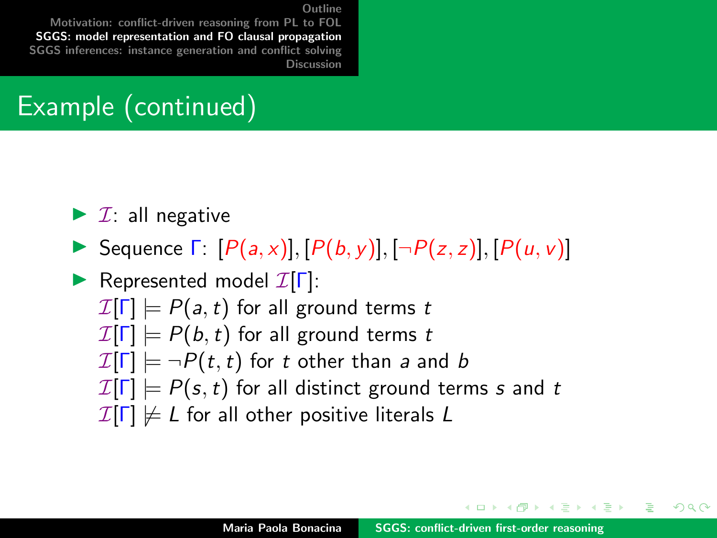[Motivation: conflict-driven reasoning from PL to FOL](#page-2-0) [SGGS: model representation and FO clausal propagation](#page-5-0) [SGGS inferences: instance generation and conflict solving](#page-22-0) [Discussion](#page-38-0)

## Example (continued)

- $\blacktriangleright$  *I*: all negative
- Sequence  $\Gamma: [P(a,x)], [P(b,y)], [\neg P(z,z)], [P(u,v)]$

Represented model  $\mathcal{I}[\Gamma]$ :  $\mathcal{I}[\Gamma] \models P(a,t)$  for all ground terms t  $\mathcal{I}[\Gamma] \models P(b, t)$  for all ground terms t  $\mathcal{I}[\Gamma] \models \neg P(t, t)$  for t other than a and b  $\mathcal{I}[\Gamma] \models P(s, t)$  for all distinct ground terms s and t  $\mathcal{I}[\Gamma] \not\models L$  for all other positive literals L

イロメ マ桐 トマ ヨ トマ ヨメ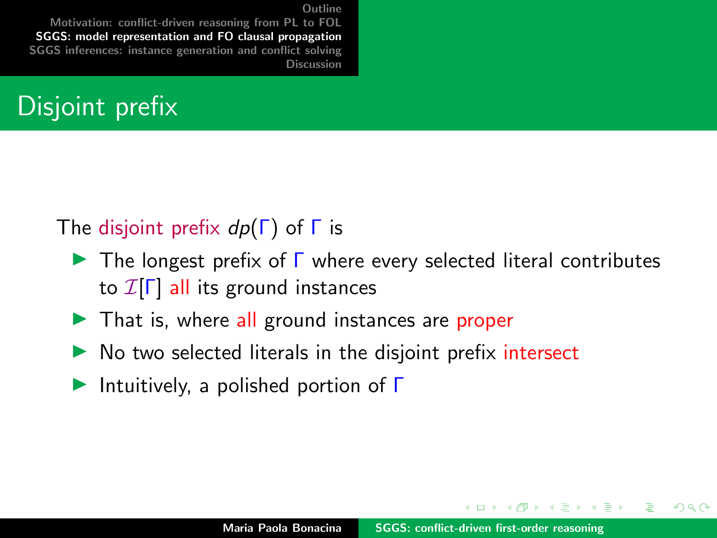[Motivation: conflict-driven reasoning from PL to FOL](#page-2-0) [SGGS: model representation and FO clausal propagation](#page-5-0) [SGGS inferences: instance generation and conflict solving](#page-22-0) [Discussion](#page-38-0)

### Disjoint prefix

#### The disjoint prefix  $dp(\Gamma)$  of  $\Gamma$  is

- $\triangleright$  The longest prefix of  $\Gamma$  where every selected literal contributes to  $\mathcal{I}[\Gamma]$  all its ground instances
- $\blacktriangleright$  That is, where all ground instances are proper
- $\triangleright$  No two selected literals in the disjoint prefix intersect
- Intuitively, a polished portion of  $\Gamma$

イロメ イ押 トラ ミトラ ミント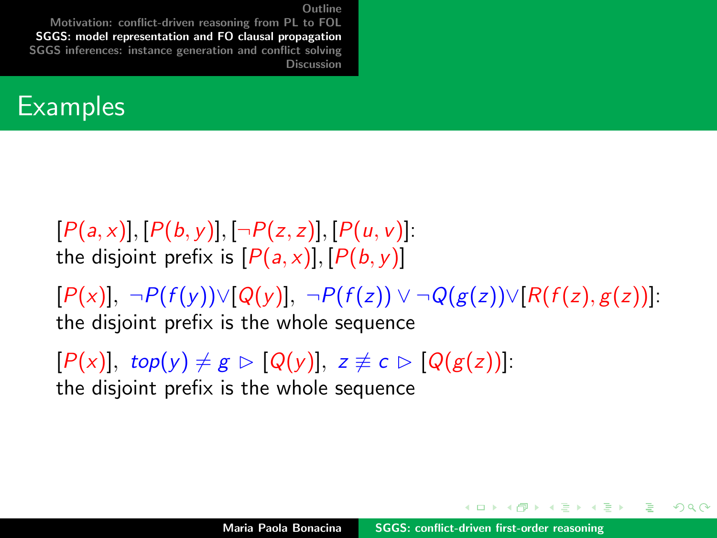[Motivation: conflict-driven reasoning from PL to FOL](#page-2-0) [SGGS: model representation and FO clausal propagation](#page-5-0) [SGGS inferences: instance generation and conflict solving](#page-22-0) [Discussion](#page-38-0)

#### **Examples**

 $[P(a, x)], [P(b, y)], [\neg P(z, z)], [P(u, v)].$ the disjoint prefix is  $[P(a, x)], [P(b, y)]$ 

 $[P(x)], \neg P(f(y)) \vee [Q(y)], \neg P(f(z)) \vee \neg Q(g(z)) \vee [R(f(z), g(z))].$ the disjoint prefix is the whole sequence

 $[P(x)]$ , top(y)  $\neq g \triangleright [Q(y)]$ ,  $z \not\equiv c \triangleright [Q(g(z))]$ : the disjoint prefix is the whole sequence

マランマ ミンマ ミン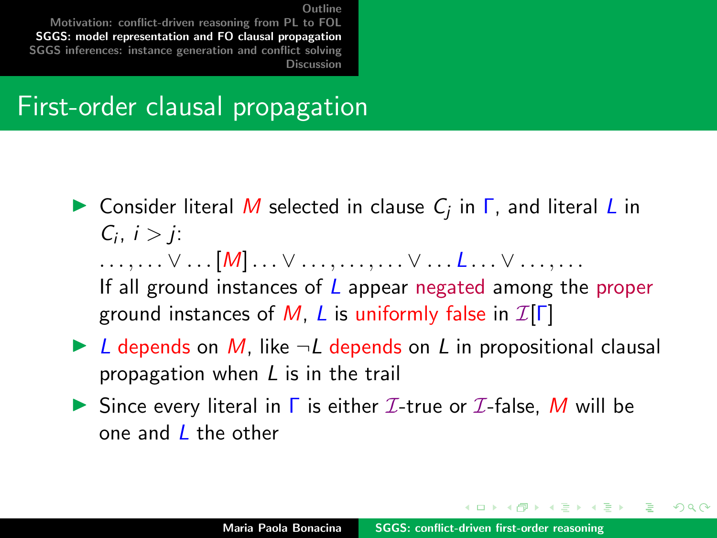[Motivation: conflict-driven reasoning from PL to FOL](#page-2-0) [SGGS: model representation and FO clausal propagation](#page-5-0) [SGGS inferences: instance generation and conflict solving](#page-22-0) [Discussion](#page-38-0)

#### First-order clausal propagation

- **In** Consider literal M selected in clause  $C_j$  in  $\Gamma$ , and literal L in  $C_i, i > j$ :  $\ldots, \ldots \vee \ldots [M] \ldots \vee \ldots, \ldots, \ldots \vee \ldots L \ldots \vee \ldots \ldots$ If all ground instances of  *appear negated among the proper* ground instances of M, L is uniformly false in  $\mathcal{I}[\Gamma]$
- $\triangleright$  L depends on M, like  $\neg L$  depends on L in propositional clausal propagation when L is in the trail
- Since every literal in  $\Gamma$  is either  $\mathcal I$ -true or  $\mathcal I$ -false, M will be one and L the other

イロメ イ押 トラ ミトラ ミント

∽≏ດ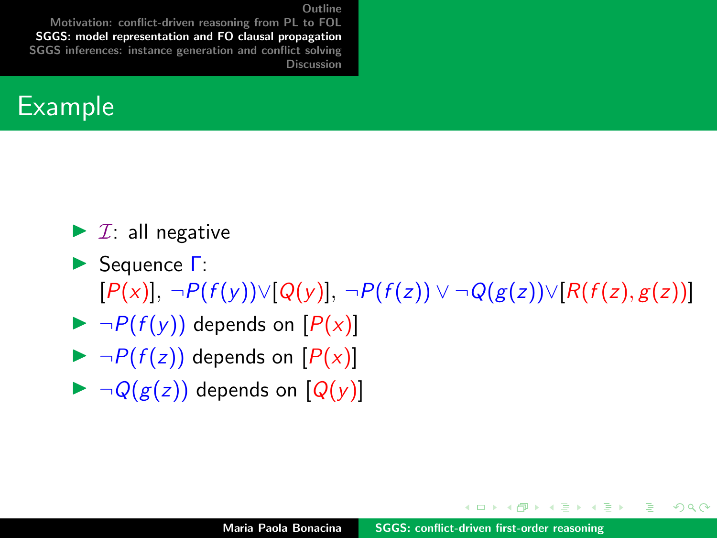[Motivation: conflict-driven reasoning from PL to FOL](#page-2-0) [SGGS: model representation and FO clausal propagation](#page-5-0) [SGGS inferences: instance generation and conflict solving](#page-22-0) [Discussion](#page-38-0)



 $\blacktriangleright$  *I*: all negative

- **► Sequence Γ:**  $[P(x)], \neg P(f(y)) \vee [Q(y)], \neg P(f(z)) \vee \neg Q(g(z)) \vee [R(f(z), g(z))]$
- $\blacktriangleright \neg P(f(y))$  depends on  $[P(x)]$
- $\blacktriangleright \neg P(f(z))$  depends on  $[P(x)]$
- $\blacktriangleright \neg Q(g(z))$  depends on  $[Q(y)]$

す例 トラ ミトラ ミト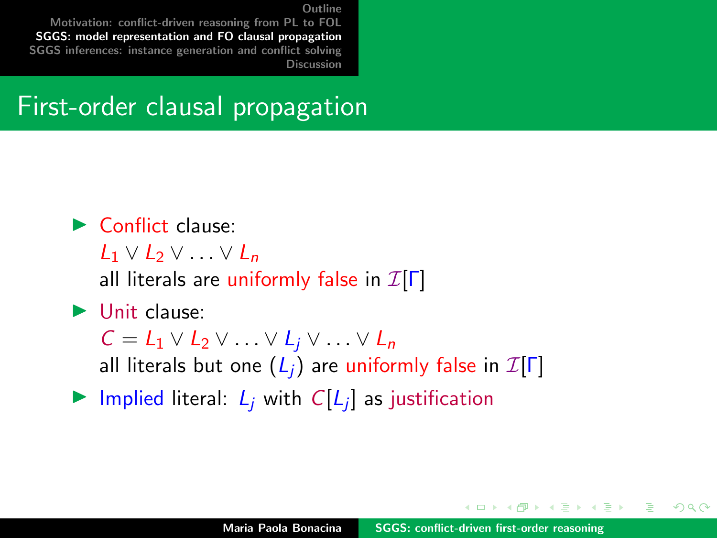[Motivation: conflict-driven reasoning from PL to FOL](#page-2-0) [SGGS: model representation and FO clausal propagation](#page-5-0) [SGGS inferences: instance generation and conflict solving](#page-22-0) [Discussion](#page-38-0)

#### First-order clausal propagation

#### $\blacktriangleright$  Conflict clause:

 $L_1 \vee L_2 \vee \ldots \vee L_n$ 

all literals are uniformly false in  $\mathcal{I}[\Gamma]$ 

#### $\blacktriangleright$  Unit clause:

 $C = L_1 \vee L_2 \vee \ldots \vee L_i \vee \ldots \vee L_n$ 

all literals but one  $(L_i)$  are uniformly false in  $\mathcal{I}[\Gamma]$ 

Implied literal:  $L_j$  with  $C[L_j]$  as justification

 $4.59 \times 4.72 \times 4.$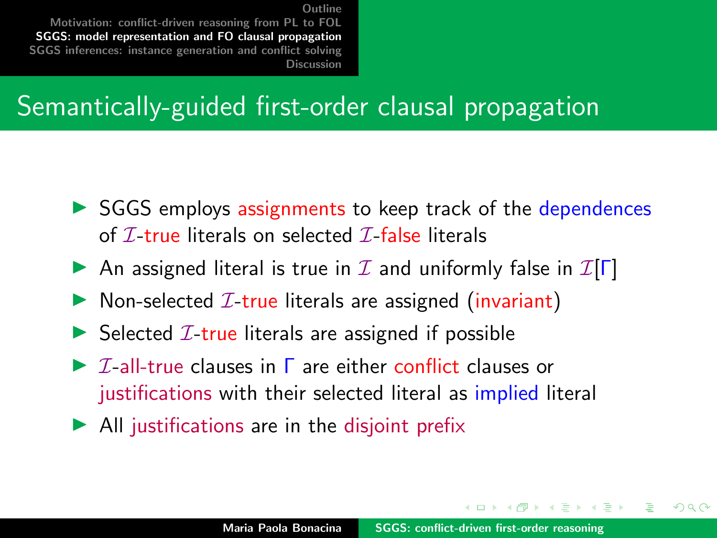[Motivation: conflict-driven reasoning from PL to FOL](#page-2-0) [SGGS: model representation and FO clausal propagation](#page-5-0) [SGGS inferences: instance generation and conflict solving](#page-22-0) [Discussion](#page-38-0)

### Semantically-guided first-order clausal propagation

- $\triangleright$  SGGS employs assignments to keep track of the dependences of  $\mathcal{I}\text{-true}$  literals on selected  $\mathcal{I}\text{-false}$  literals
- An assigned literal is true in  $\mathcal I$  and uniformly false in  $\mathcal I[\Gamma]$
- $\triangleright$  Non-selected *I*-true literals are assigned (invariant)
- $\triangleright$  Selected *I*-true literals are assigned if possible
- $\triangleright$  *T*-all-true clauses in  $\Gamma$  are either conflict clauses or justifications with their selected literal as implied literal
- $\blacktriangleright$  All justifications are in the disjoint prefix

イロメ マ桐 トマ ヨ トマ ヨメ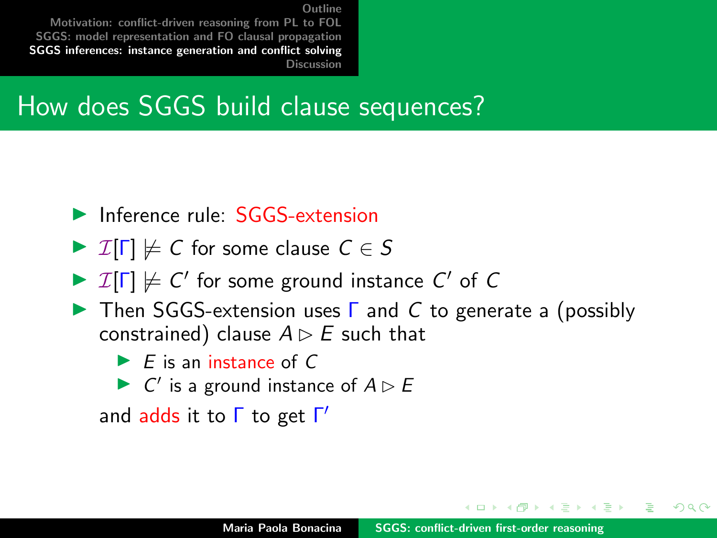<span id="page-22-0"></span>[Motivation: conflict-driven reasoning from PL to FOL](#page-2-0) [SGGS: model representation and FO clausal propagation](#page-5-0) [SGGS inferences: instance generation and conflict solving](#page-22-0) [Discussion](#page-38-0)

#### How does SGGS build clause sequences?

- $\blacktriangleright$  Inference rule:  $SGGS$ -extension
- $\triangleright$   $\mathcal{I}[\Gamma] \not\models C$  for some clause  $C \in S$
- $\triangleright$   $\mathcal{I}[\Gamma] \not\models C'$  for some ground instance  $C'$  of  $C$
- **IF** Then SGGS-extension uses  $\Gamma$  and C to generate a (possibly constrained) clause  $A \triangleright E$  such that
	- $\blacktriangleright$  E is an instance of C
	- $\triangleright$  C' is a ground instance of  $A \triangleright B$

and adds it to Γ to get Γ'

4 5 6 4 5 6 4 5

∽≏ດ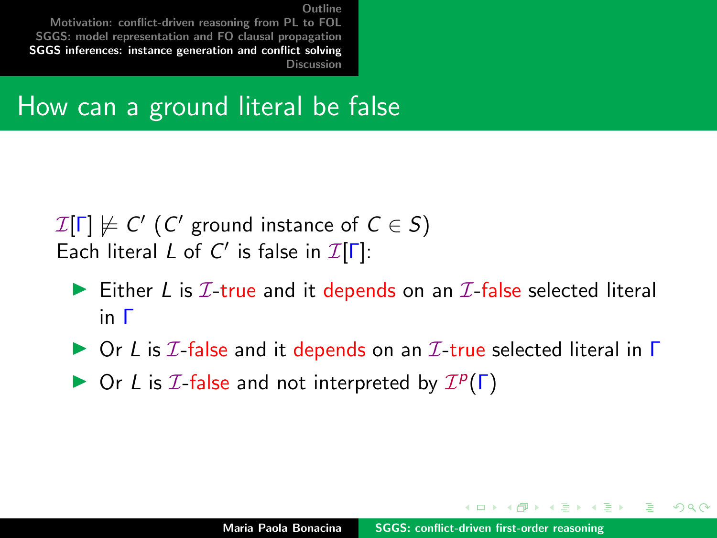[Motivation: conflict-driven reasoning from PL to FOL](#page-2-0) [SGGS: model representation and FO clausal propagation](#page-5-0) [SGGS inferences: instance generation and conflict solving](#page-22-0) [Discussion](#page-38-0)

#### How can a ground literal be false

 $\mathcal{I}[\Gamma]\not\models \mathsf{C}'$   $(\mathsf{C}'$  ground instance of  $\mathsf{C}\in \mathsf{S})$ Each literal L of C' is false in  $\mathcal{I}[\Gamma]$ :

- Either L is  $I$ -true and it depends on an  $I$ -false selected literal in Γ
- $\triangleright$  Or L is  $\mathcal I$ -false and it depends on an  $\mathcal I$ -true selected literal in  $\Gamma$
- $\triangleright$  Or L is  $I$ -false and not interpreted by  $I^p(\Gamma)$

 $4.11 \times 4.51 \times 4.71 \times 1.72$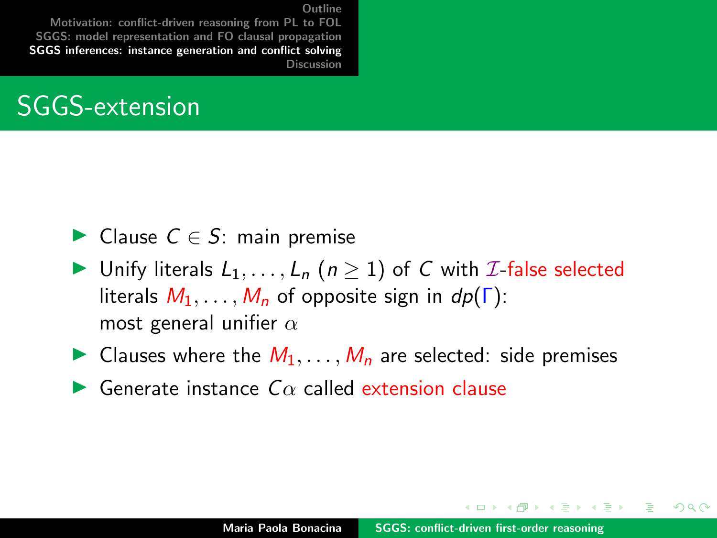[Motivation: conflict-driven reasoning from PL to FOL](#page-2-0) [SGGS: model representation and FO clausal propagation](#page-5-0) [SGGS inferences: instance generation and conflict solving](#page-22-0) [Discussion](#page-38-0)

#### SGGS-extension

- ► Clause  $C \in S$ : main premise
- In Unify literals  $L_1, \ldots, L_n$   $(n \geq 1)$  of C with *I*-false selected literals  $M_1, \ldots, M_n$  of opposite sign in  $dp(\Gamma)$ : most general unifier  $\alpha$
- In Clauses where the  $M_1, \ldots, M_n$  are selected: side premises
- $\blacktriangleright$  Generate instance  $C\alpha$  called extension clause

 $4.11 \times 4.51 \times 4.71 \times 1.72$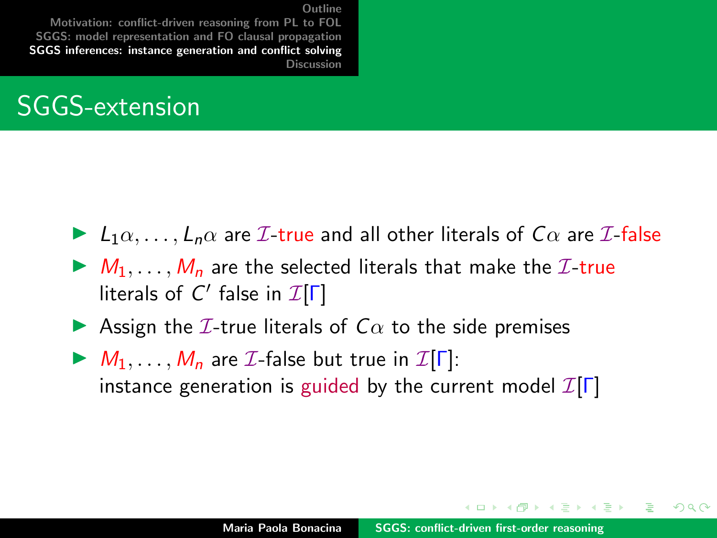[Motivation: conflict-driven reasoning from PL to FOL](#page-2-0) [SGGS: model representation and FO clausal propagation](#page-5-0) [SGGS inferences: instance generation and conflict solving](#page-22-0) [Discussion](#page-38-0)

#### SGGS-extension

- $\blacktriangleright$   $L_1\alpha, \ldots, L_n\alpha$  are  $\mathcal{I}\text{-}$  true and all other literals of  $C\alpha$  are  $\mathcal{I}\text{-}$  false
- $\blacktriangleright M_1, \ldots, M_n$  are the selected literals that make the  $\mathcal{I}\text{-true}$ literals of  $C'$  false in  $\mathcal{I}[\Gamma]$
- **IDED** Assign the *I*-true literals of  $C\alpha$  to the side premises
- $M_1, \ldots, M_n$  are *I*-false but true in *I*[Γ]: instance generation is guided by the current model  $\mathcal{I}[\Gamma]$

イロメ イ押 トラ ミトラ ミント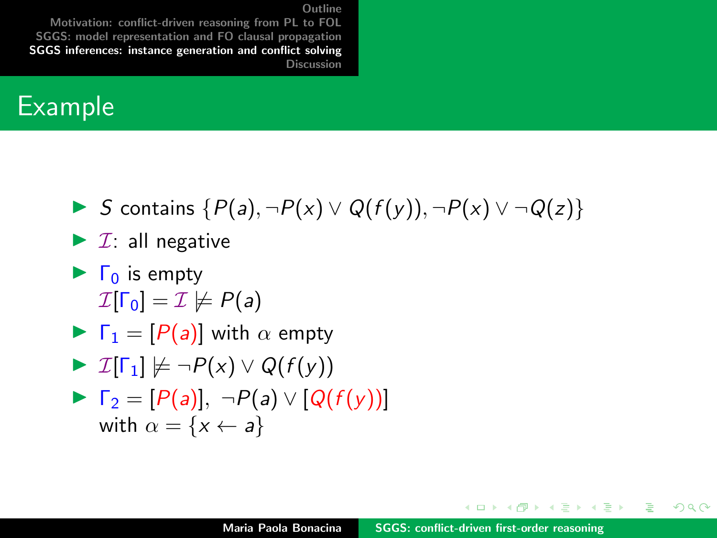[Motivation: conflict-driven reasoning from PL to FOL](#page-2-0) [SGGS: model representation and FO clausal propagation](#page-5-0) [SGGS inferences: instance generation and conflict solving](#page-22-0) [Discussion](#page-38-0)

#### Example

**IF** S contains  $\{P(a), \neg P(x) \lor Q(f(y)), \neg P(x) \lor \neg Q(z)\}$ 

$$
\blacktriangleright
$$
 *T*: all negative

 $\blacktriangleright$   $\Gamma_0$  is empty  $\mathcal{I}[\Gamma_0] = \mathcal{I} \not\models P(a)$ 

$$
\blacktriangleright \Gamma_1 = [P(a)] \text{ with } \alpha \text{ empty}
$$

$$
\blacktriangleright \mathcal{I}[\Gamma_1] \not\models \neg P(x) \vee Q(f(y))
$$

$$
\triangleright \Gamma_2 = [P(a)], \neg P(a) \vee [Q(f(y))]
$$
  
with  $\alpha = \{x \leftarrow a\}$ 

イロメ イ押 トラ ミトラ ミント

 $2Q$ 

∍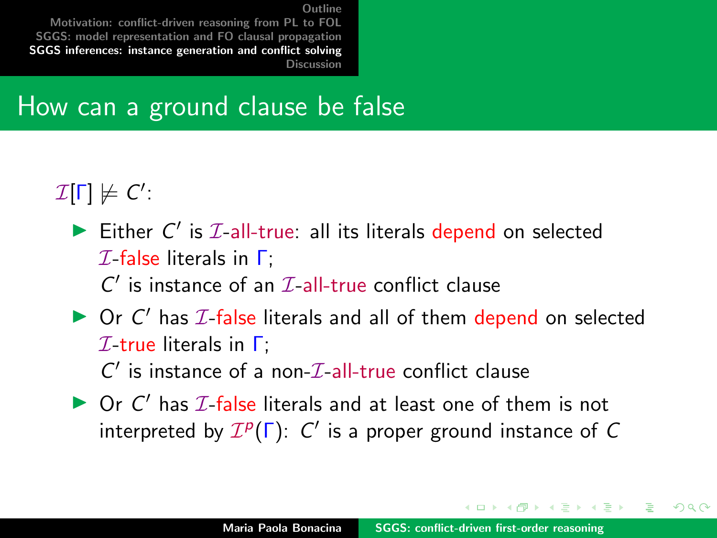[Motivation: conflict-driven reasoning from PL to FOL](#page-2-0) [SGGS: model representation and FO clausal propagation](#page-5-0) [SGGS inferences: instance generation and conflict solving](#page-22-0) [Discussion](#page-38-0)

#### How can a ground clause be false

 $\mathcal{I}[\Gamma]\not\models C'.$ 

- Either  $C'$  is  $I$ -all-true: all its literals depend on selected  $I$ -false literals in  $\Gamma$ :  $C'$  is instance of an  $\mathcal{I}\text{-all-true}$  conflict clause
- $\triangleright$  Or C' has  $I$ -false literals and all of them depend on selected  $I$ -true literals in  $\Gamma$ :  $C'$  is instance of a non- $\mathcal{I}\text{-}\mathrm{all}\text{-}\mathrm{true}$  conflict clause
- $\triangleright$  Or C' has  $I$ -false literals and at least one of them is not interpreted by  $\mathcal{I}^p(\Gamma)$ : C' is a proper ground instance of C

イロメ マ桐 トマ ヨ トマ ヨメ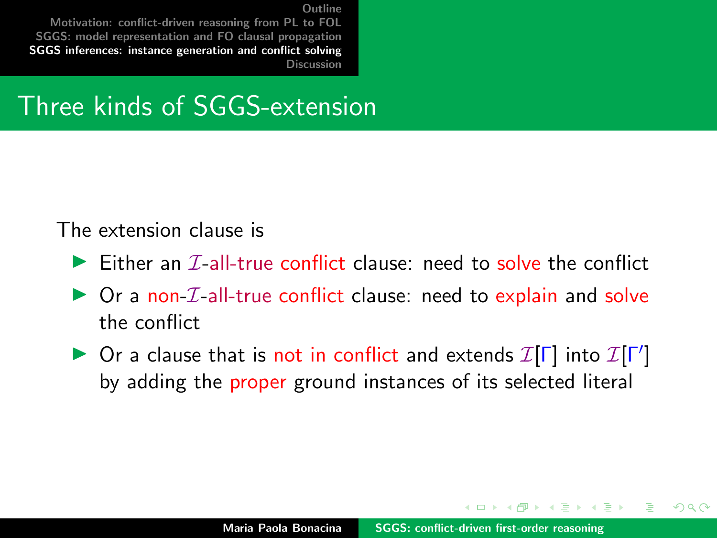[Motivation: conflict-driven reasoning from PL to FOL](#page-2-0) [SGGS: model representation and FO clausal propagation](#page-5-0) [SGGS inferences: instance generation and conflict solving](#page-22-0) [Discussion](#page-38-0)

#### Three kinds of SGGS-extension

#### The extension clause is

- $\triangleright$  Either an  $\mathcal{T}$ -all-true conflict clause: need to solve the conflict
- $\triangleright$  Or a non-*I*-all-true conflict clause: need to explain and solve the conflict
- ▶ Or a clause that is not in conflict and extends  $\mathcal{I}[\Gamma]$  into  $\mathcal{I}[\Gamma']$ by adding the proper ground instances of its selected literal

**MARK REAR**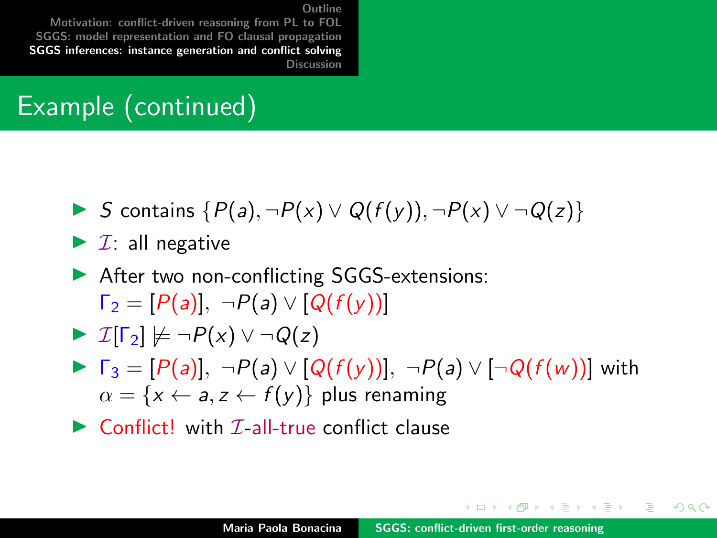[Motivation: conflict-driven reasoning from PL to FOL](#page-2-0) [SGGS: model representation and FO clausal propagation](#page-5-0) [SGGS inferences: instance generation and conflict solving](#page-22-0) [Discussion](#page-38-0)

### Example (continued)

- $\triangleright$  S contains  $\{P(a), \neg P(x) \lor Q(f(y)), \neg P(x) \lor \neg Q(z)\}$
- $\blacktriangleright$  *I*: all negative
- ▶ After two non-conflicting SGGS-extensions:  $\Gamma_2 = [P(a)], \neg P(a) \vee [Q(f(v))]$

$$
\blacktriangleright \mathcal{I}[\Gamma_2] \not\models \neg P(x) \vee \neg Q(z)
$$

- $\blacktriangleright \ \Gamma_3 = [P(a)], \ \neg P(a) \vee [Q(f(y))], \ \neg P(a) \vee [\neg Q(f(w))]$  with  $\alpha = \{x \leftarrow a, z \leftarrow f(y)\}\$  plus renaming
- $\triangleright$  Conflict! with *T*-all-true conflict clause

 $4.013.4.013.4.013.4.013.4.01$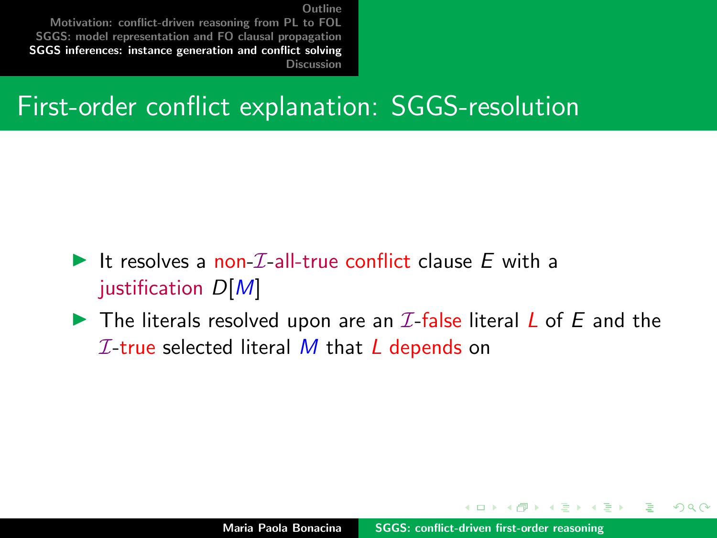[Motivation: conflict-driven reasoning from PL to FOL](#page-2-0) [SGGS: model representation and FO clausal propagation](#page-5-0) [SGGS inferences: instance generation and conflict solving](#page-22-0) [Discussion](#page-38-0)

#### First-order conflict explanation: SGGS-resolution

- It resolves a non- $\mathcal{I}$ -all-true conflict clause E with a justification  $D[M]$
- $\blacktriangleright$  The literals resolved upon are an  $\mathcal I$ -false literal L of E and the  $I$ -true selected literal M that L depends on

- 4 桐 ト 4 戸 ト 4 戸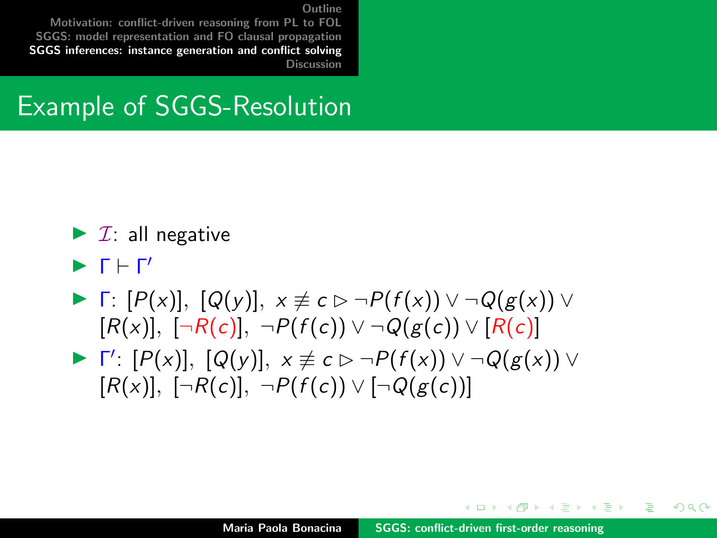[Motivation: conflict-driven reasoning from PL to FOL](#page-2-0) [SGGS: model representation and FO clausal propagation](#page-5-0) [SGGS inferences: instance generation and conflict solving](#page-22-0) [Discussion](#page-38-0)

#### Example of SGGS-Resolution

- $\blacktriangleright$  *I*: all negative
- $\blacktriangleright$   $\Gamma \vdash \Gamma'$
- $\blacktriangleright$  Γ:  $[P(x)], [Q(y)], x \not\equiv c \triangleright \neg P(f(x)) \vee \neg Q(g(x)) \vee$  $[R(x)], \; [\neg R(c)], \; \neg P(f(c)) \vee \neg Q(g(c)) \vee [R(c)]$
- $\blacktriangleright \ \Gamma' : [P(x)], [Q(y)], \ x \not\equiv c \triangleright \neg P(f(x)) \vee \neg Q(g(x)) \vee$  $[R(x)]$ ,  $[\neg R(c)]$ ,  $\neg P(f(c)) \vee [\neg Q(g(c))]$

イロト イタト イミト イミト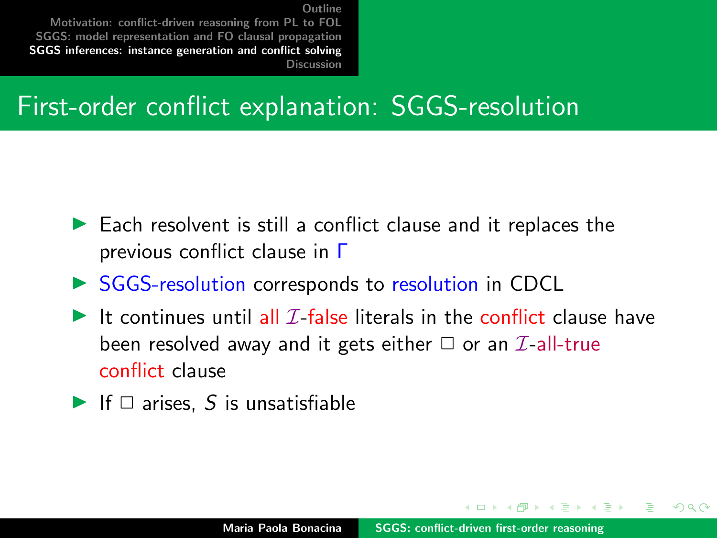[Motivation: conflict-driven reasoning from PL to FOL](#page-2-0) [SGGS: model representation and FO clausal propagation](#page-5-0) [SGGS inferences: instance generation and conflict solving](#page-22-0) [Discussion](#page-38-0)

### First-order conflict explanation: SGGS-resolution

- $\blacktriangleright$  Each resolvent is still a conflict clause and it replaces the previous conflict clause in Γ
- ▶ SGGS-resolution corresponds to resolution in CDCL
- It continues until all  $\mathcal I$ -false literals in the conflict clause have been resolved away and it gets either  $\Box$  or an  $\mathcal{I}\text{-}all\text{-}true$ conflict clause
- If  $\Box$  arises, S is unsatisfiable

イロメ マ桐 トマ ヨ トマ ヨメ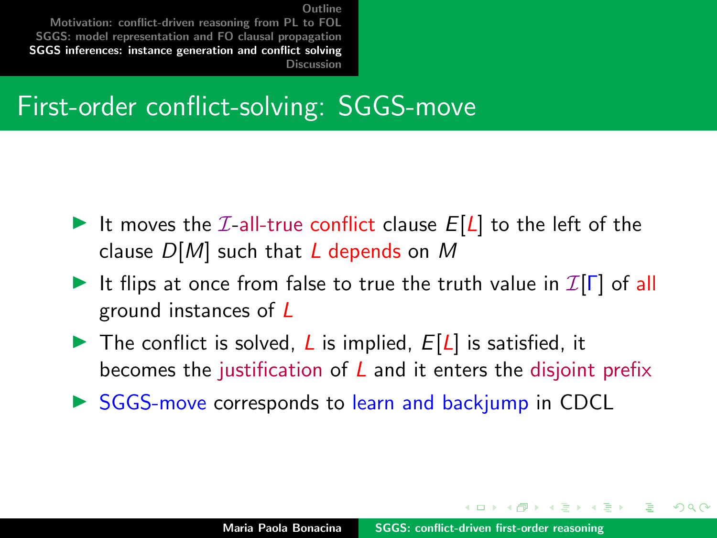[Motivation: conflict-driven reasoning from PL to FOL](#page-2-0) [SGGS: model representation and FO clausal propagation](#page-5-0) [SGGS inferences: instance generation and conflict solving](#page-22-0) [Discussion](#page-38-0)

#### First-order conflict-solving: SGGS-move

- It moves the  $I$ -all-true conflict clause  $E[L]$  to the left of the clause  $D[M]$  such that L depends on M
- It flips at once from false to true the truth value in  $\mathcal{I}[\Gamma]$  of all ground instances of L
- $\triangleright$  The conflict is solved, L is implied,  $E[L]$  is satisfied, it becomes the justification of  *and it enters the disjoint prefix*
- $\triangleright$  SGGS-move corresponds to learn and backjump in CDCL

イロメ マ桐 トマ ヨ トマ ヨメ

∽≏ດ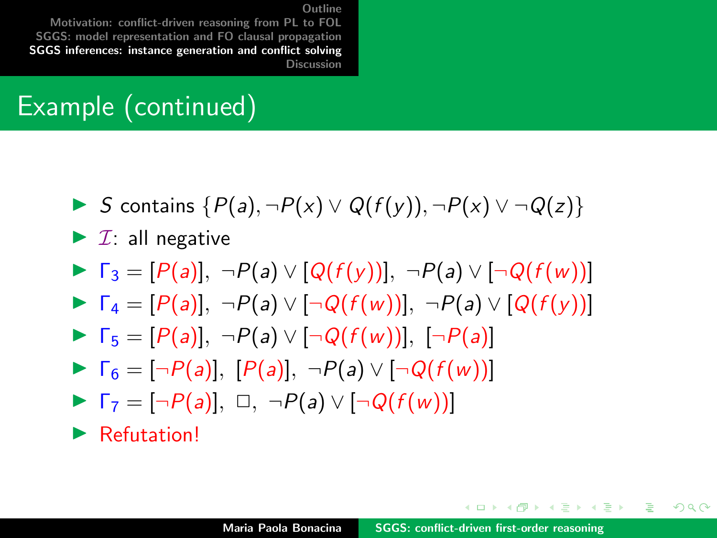[Motivation: conflict-driven reasoning from PL to FOL](#page-2-0) [SGGS: model representation and FO clausal propagation](#page-5-0) [SGGS inferences: instance generation and conflict solving](#page-22-0) [Discussion](#page-38-0)

### Example (continued)

- **I** S contains  $\{P(a), \neg P(x) \lor Q(f(v)), \neg P(x) \lor \neg Q(z)\}$
- $\blacktriangleright$  *I*: all negative
- $\blacktriangleright \Gamma_3 = [P(a)], \neg P(a) \vee [Q(f(y))], \neg P(a) \vee [\neg Q(f(w))]$
- $\blacktriangleright \Gamma_4 = [P(a)], \neg P(a) \vee [\neg Q(f(w))], \neg P(a) \vee [Q(f(y))]$
- $\blacktriangleright \ \Gamma_5 = [P(a)], \ \neg P(a) \vee [\neg Q(f(w))], \ [\neg P(a)]$
- $\blacktriangleright \Gamma_6 = [\neg P(a)], [P(a)], \neg P(a) \vee [\neg Q(f(w))]$
- $\blacktriangleright \Gamma_7 = [\neg P(a)], \square, \neg P(a) \vee [\neg Q(f(w))]$

 $\blacktriangleright$  Refutation!

イロメ イ押 トイラ トイラメー

 $\Omega$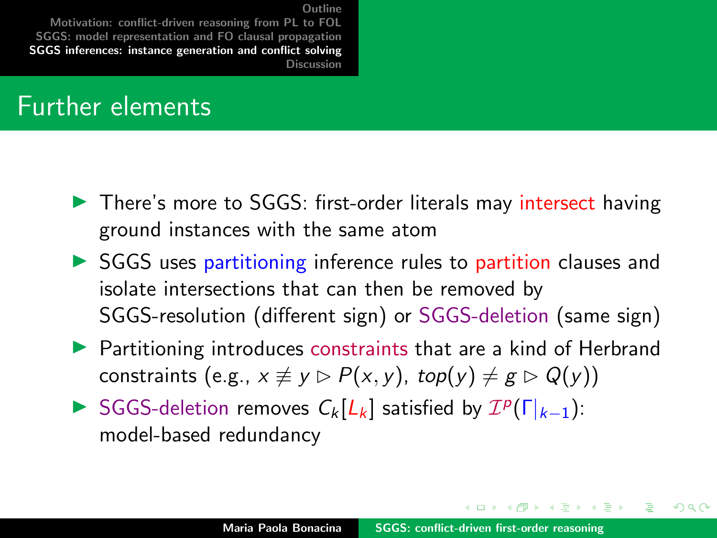[Motivation: conflict-driven reasoning from PL to FOL](#page-2-0) [SGGS: model representation and FO clausal propagation](#page-5-0) [SGGS inferences: instance generation and conflict solving](#page-22-0) [Discussion](#page-38-0)

#### Further elements

- ▶ There's more to SGGS: first-order literals may intersect having ground instances with the same atom
- ▶ SGGS uses partitioning inference rules to partition clauses and isolate intersections that can then be removed by SGGS-resolution (different sign) or SGGS-deletion (same sign)
- **Partitioning introduces constraints that are a kind of Herbrand** constraints (e.g.,  $x \neq y \triangleright P(x, y)$ , top(y)  $\neq g \triangleright Q(y)$ )
- SGGS-deletion removes  $C_k[L_k]$  satisfied by  $\mathcal{I}^p(\Gamma_{k-1})$ : model-based redundancy

イロメ マ桐 トマ ヨ トマ ヨメ

∽≏ດ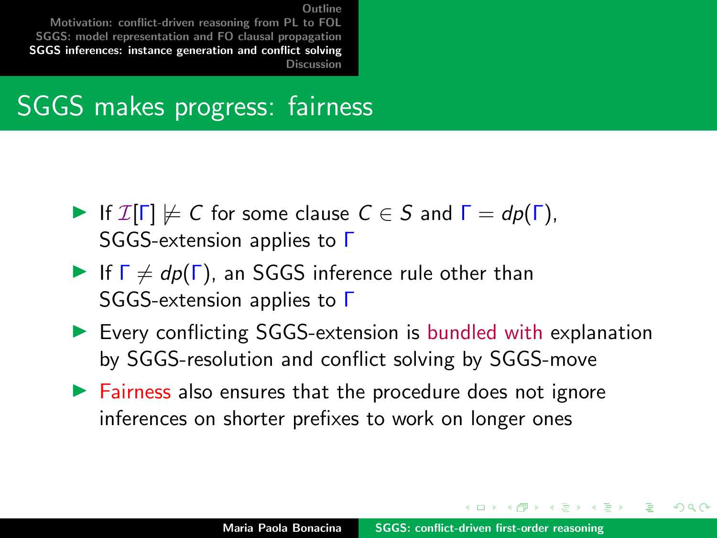[Motivation: conflict-driven reasoning from PL to FOL](#page-2-0) [SGGS: model representation and FO clausal propagation](#page-5-0) [SGGS inferences: instance generation and conflict solving](#page-22-0) [Discussion](#page-38-0)

#### SGGS makes progress: fairness

- If  $\mathcal{I}[\Gamma] \not\models C$  for some clause  $C \in S$  and  $\Gamma = dp(\Gamma)$ , SGGS-extension applies to Γ
- If  $\Gamma \neq dp(\Gamma)$ , an SGGS inference rule other than SGGS-extension applies to Γ
- $\triangleright$  Every conflicting SGGS-extension is bundled with explanation by SGGS-resolution and conflict solving by SGGS-move
- $\triangleright$  Fairness also ensures that the procedure does not ignore inferences on shorter prefixes to work on longer ones

イロメ マ桐 トマ ヨ トマ ヨメ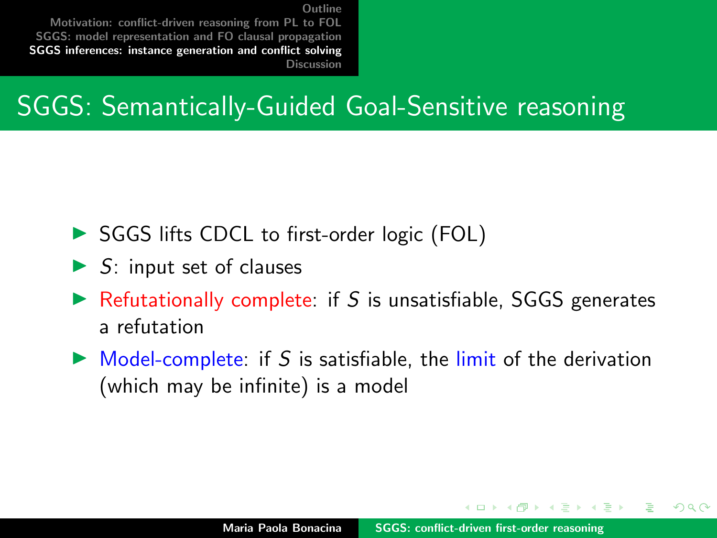[Motivation: conflict-driven reasoning from PL to FOL](#page-2-0) [SGGS: model representation and FO clausal propagation](#page-5-0) [SGGS inferences: instance generation and conflict solving](#page-22-0) [Discussion](#page-38-0)

### SGGS: Semantically-Guided Goal-Sensitive reasoning

- ▶ SGGS lifts CDCL to first-order logic (FOL)
- $\triangleright$  S: input set of clauses
- $\triangleright$  Refutationally complete: if S is unsatisfiable, SGGS generates a refutation
- $\triangleright$  Model-complete: if S is satisfiable, the limit of the derivation (which may be infinite) is a model

4 5 6 4 5 6 4 5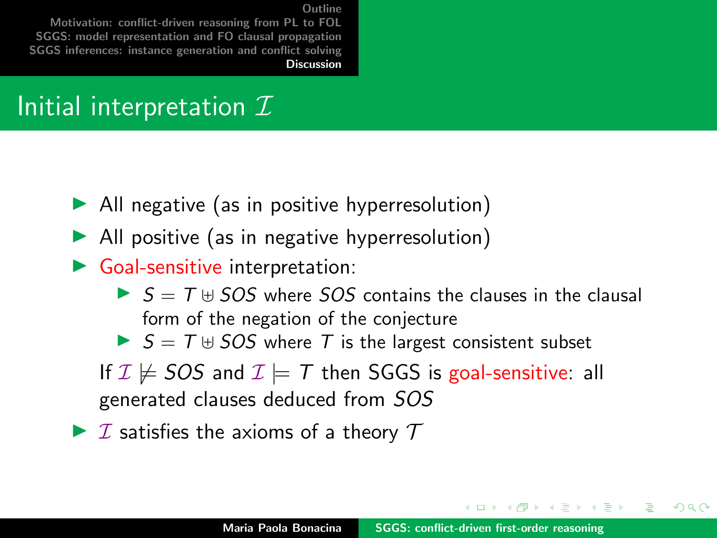<span id="page-38-0"></span>[Motivation: conflict-driven reasoning from PL to FOL](#page-2-0) [SGGS: model representation and FO clausal propagation](#page-5-0) [SGGS inferences: instance generation and conflict solving](#page-22-0) [Discussion](#page-38-0)

#### Initial interpretation  $\mathcal I$

- $\blacktriangleright$  All negative (as in positive hyperresolution)
- $\blacktriangleright$  All positive (as in negative hyperresolution)
- $\triangleright$  Goal-sensitive interpretation:
	- $\triangleright$   $S = T \uplus SOS$  where *SOS* contains the clauses in the clausal form of the negation of the conjecture
	- $\triangleright$   $S = T \oplus SOS$  where T is the largest consistent subset

If  $\mathcal{I} \not\models$  SOS and  $\mathcal{I} \models \mathcal{T}$  then SGGS is goal-sensitive: all generated clauses deduced from SOS

 $\triangleright$  *I* satisfies the axioms of a theory  $\tau$ 

イロト イ押 トラミトラミ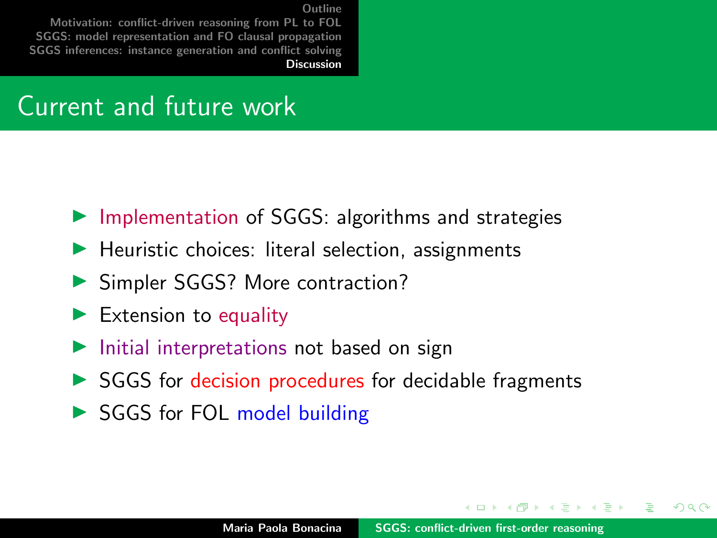[Motivation: conflict-driven reasoning from PL to FOL](#page-2-0) [SGGS: model representation and FO clausal propagation](#page-5-0) [SGGS inferences: instance generation and conflict solving](#page-22-0) **[Discussion](#page-38-0)** 

#### Current and future work

- $\triangleright$  Implementation of SGGS: algorithms and strategies
- $\blacktriangleright$  Heuristic choices: literal selection, assignments
- ▶ Simpler SGGS? More contraction?
- $\blacktriangleright$  Extension to equality
- $\blacktriangleright$  Initial interpretations not based on sign
- $\triangleright$  SGGS for decision procedures for decidable fragments
- SGGS for FOL model building

イロト イ団 トイラトイ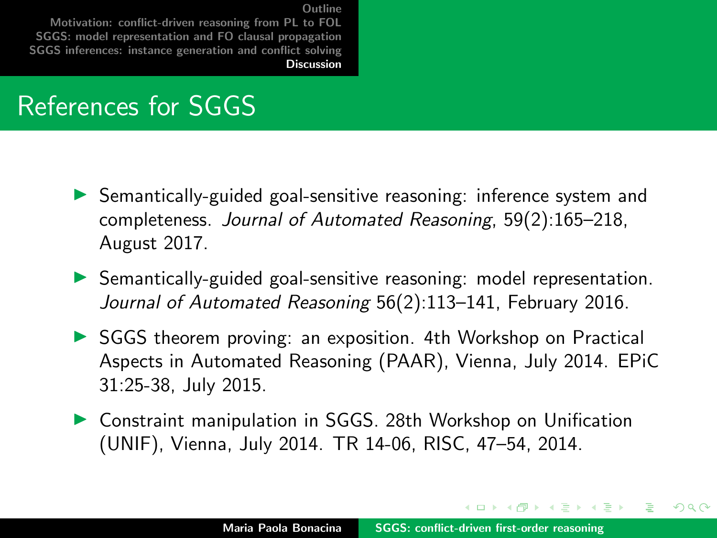[Motivation: conflict-driven reasoning from PL to FOL](#page-2-0) [SGGS: model representation and FO clausal propagation](#page-5-0) [SGGS inferences: instance generation and conflict solving](#page-22-0) **[Discussion](#page-38-0)** 

#### References for SGGS

- $\triangleright$  Semantically-guided goal-sensitive reasoning: inference system and completeness. Journal of Automated Reasoning, 59(2):165–218, August 2017.
- $\triangleright$  Semantically-guided goal-sensitive reasoning: model representation. Journal of Automated Reasoning 56(2):113–141, February 2016.
- **INCOCS** SGGS theorem proving: an exposition. 4th Workshop on Practical Aspects in Automated Reasoning (PAAR), Vienna, July 2014. EPiC 31:25-38, July 2015.
- ▶ Constraint manipulation in SGGS. 28th Workshop on Unification (UNIF), Vienna, July 2014. TR 14-06, RISC, 47–54, 2014.

イロメ マ桐 トマ ヨ トマ ヨメ